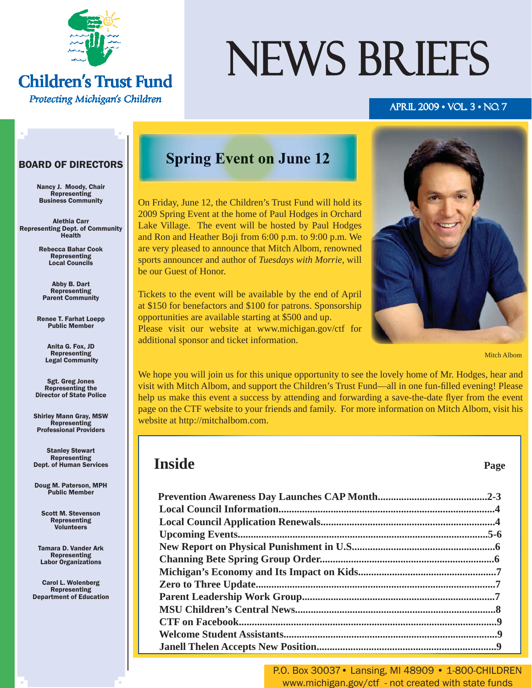

### **Children's Trust Fund** Protecting Michigan's Children

# NEWS BRIEFS

#### APRIL 2009 • VOL. 3 • NO. 7

#### BOARD OF DIRECTORS

Nancy J. Moody, Chair Representing Business Community

Alethia Carr Representing Dept. of Community Health

> Rebecca Bahar Cook Representing Local Councils

Abby B. Dart **Representing** Parent Community

Renee T. Farhat Loepp Public Member

> Anita G. Fox, JD Representing Legal Community

Sgt. Greg Jones Representing the Director of State Police

Shirley Mann Gray, MSW Representing Professional Providers

Stanley Stewart Representing Dept. of Human Services

Doug M. Paterson, MPH Public Member

Scott M. Stevenson Representing Volunteers

Tamara D. Vander Ark Representing Labor Organizations

Carol L. Wolenberg Representing Department of Education

### **Spring Event on June 12**

On Friday, June 12, the Children's Trust Fund will hold its 2009 Spring Event at the home of Paul Hodges in Orchard Lake Village. The event will be hosted by Paul Hodges and Ron and Heather Boji from 6:00 p.m. to 9:00 p.m. We are very pleased to announce that Mitch Albom, renowned sports announcer and author of *Tuesdays with Morrie*, will be our Guest of Honor.

Tickets to the event will be available by the end of April at \$150 for benefactors and \$100 for patrons. Sponsorship opportunities are available starting at \$500 and up. Please visit our website at www.michigan.gov/ctf for additional sponsor and ticket information.



We hope you will join us for this unique opportunity to see the lovely home of Mr. Hodges, hear and visit with Mitch Albom, and support the Children's Trust Fund—all in one fun-filled evening! Please help us make this event a success by attending and forwarding a save-the-date flyer from the event [page on the CTF website](http://www.michigan.gov/ctf/0,1607,7-196-40190_40521-212052--,00.html) to your friends and family. For more information on Mitch Albom, visit his website at http://mitchalbom.com.

### **Inside** Page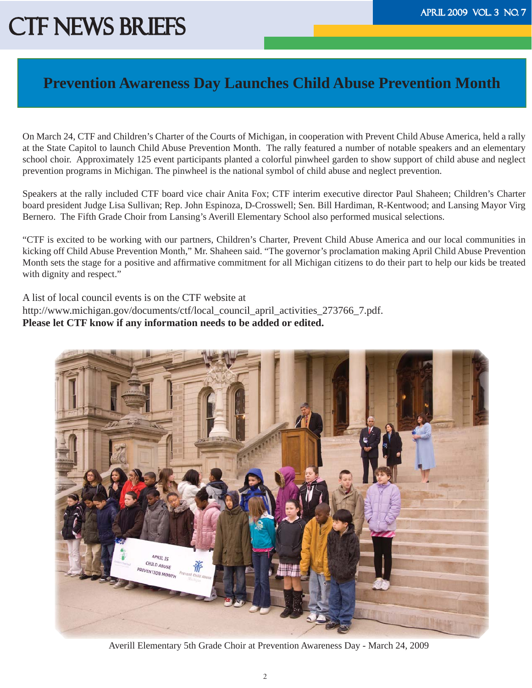### **Prevention Awareness Day Launches Child Abuse Prevention Month**

On March 24, CTF and Children's Charter of the Courts of Michigan, in cooperation with Prevent Child Abuse America, held a rally at the State Capitol to launch Child Abuse Prevention Month. The rally featured a number of notable speakers and an elementary school choir. Approximately 125 event participants planted a colorful pinwheel garden to show support of child abuse and neglect prevention programs in Michigan. The pinwheel is the national symbol of child abuse and neglect prevention.

Speakers at the rally included CTF board vice chair Anita Fox; CTF interim executive director Paul Shaheen; Children's Charter board president Judge Lisa Sullivan; Rep. John Espinoza, D-Crosswell; Sen. Bill Hardiman, R-Kentwood; and Lansing Mayor Virg Bernero. The Fifth Grade Choir from Lansing's Averill Elementary School also performed musical selections.

"CTF is excited to be working with our partners, Children's Charter, Prevent Child Abuse America and our local communities in kicking off Child Abuse Prevention Month," Mr. Shaheen said. "The governor's proclamation making April Child Abuse Prevention Month sets the stage for a positive and affirmative commitment for all Michigan citizens to do their part to help our kids be treated with dignity and respect."

A list of local council events is on the CTF website at http://www.michigan.gov/documents/ctf/local\_council\_april\_activities\_273766\_7.pdf. **Please let CTF know if any information needs to be added or edited.** 



Averill Elementary 5th Grade Choir at Prevention Awareness Day - March 24, 2009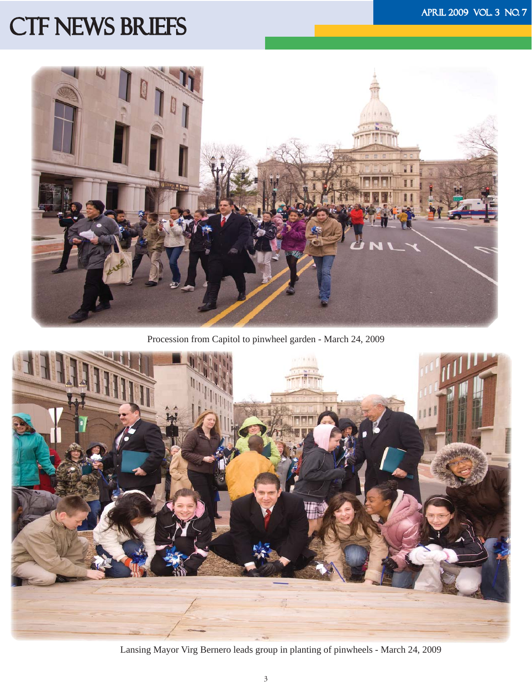

Procession from Capitol to pinwheel garden - March 24, 2009



Lansing Mayor Virg Bernero leads group in planting of pinwheels - March 24, 2009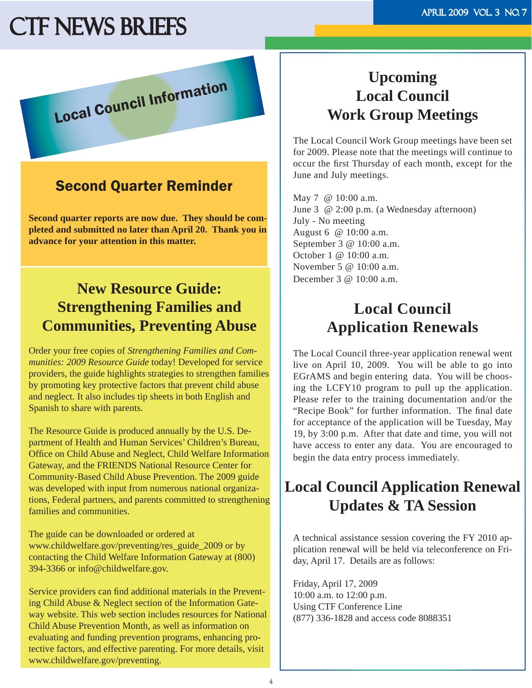Local Council Information

### Second Quarter Reminder

**Second quarter reports are now due. They should be completed and submitted no later than April 20. Thank you in advance for your attention in this matter.**

### **New Resource Guide: Strengthening Families and Communities, Preventing Abuse**

Order your free copies of *Strengthening Families and Communities: 2009 Resource Guide* today! Developed for service providers, the guide highlights strategies to strengthen families by promoting key protective factors that prevent child abuse and neglect. It also includes tip sheets in both English and Spanish to share with parents.

The Resource Guide is produced annually by the U.S. Department of Health and Human Services' Children's Bureau, Office on Child Abuse and Neglect, Child Welfare Information Gateway, and the FRIENDS National Resource Center for Community-Based Child Abuse Prevention. The 2009 guide was developed with input from numerous national organizations, Federal partners, and parents committed to strengthening families and communities.

The guide can be downloaded or ordered at www.childwelfare.gov/preventing/res\_guide\_2009 or by contacting the Child Welfare Information Gateway at (800) 394-3366 or info@childwelfare.gov.

Service providers can find additional materials in the Preventing Child Abuse & Neglect section of the Information Gateway website. This web section includes resources for National Child Abuse Prevention Month, as well as information on evaluating and funding prevention programs, enhancing protective factors, and effective parenting. For more details, visit www.childwelfare.gov/preventing.

### **Upcoming Local Council Work Group Meetings**

The Local Council Work Group meetings have been set for 2009. Please note that the meetings will continue to occur the first Thursday of each month, except for the June and July meetings.

May 7 @ 10:00 a.m. June 3 @ 2:00 p.m. (a Wednesday afternoon) July - No meeting August 6 @ 10:00 a.m. September 3 @ 10:00 a.m. October 1 @ 10:00 a.m. November 5 @ 10:00 a.m. December 3 @ 10:00 a.m.

### **Local Council Application Renewals**

The Local Council three-year application renewal went live on April 10, 2009. You will be able to go into EGrAMS and begin entering data. You will be choosing the LCFY10 program to pull up the application. Please refer to the training documentation and/or the "Recipe Book" for further information. The final date for acceptance of the application will be Tuesday, May 19, by 3:00 p.m. After that date and time, you will not have access to enter any data. You are encouraged to begin the data entry process immediately.

# **Local Council Application Renewal Updates & TA Session**

A technical assistance session covering the FY 2010 application renewal will be held via teleconference on Friday, April 17. Details are as follows:

Friday, April 17, 2009 10:00 a.m. to 12:00 p.m. Using CTF Conference Line (877) 336-1828 and access code 8088351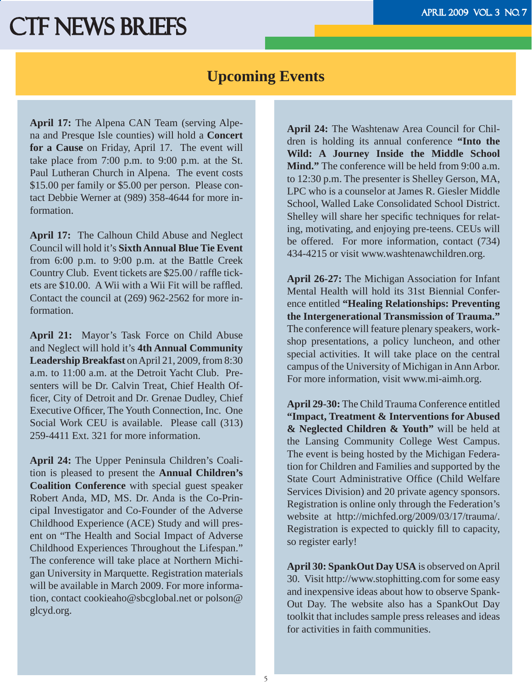### **Upcoming Events**

**April 17:** The Alpena CAN Team (serving Alpena and Presque Isle counties) will hold a **Concert for a Cause** on Friday, April 17. The event will take place from 7:00 p.m. to 9:00 p.m. at the St. Paul Lutheran Church in Alpena. The event costs \$15.00 per family or \$5.00 per person. Please contact Debbie Werner at (989) 358-4644 for more information.

**April 17:** The Calhoun Child Abuse and Neglect Council will hold it's **Sixth Annual Blue Tie Event**  from 6:00 p.m. to 9:00 p.m. at the Battle Creek Country Club. Event tickets are \$25.00 / raffle tickets are \$10.00. A Wii with a Wii Fit will be raffled. Contact the council at (269) 962-2562 for more information.

**April 21:** Mayor's Task Force on Child Abuse and Neglect will hold it's **4th Annual Community Leadership Breakfast** on April 21, 2009, from 8:30 a.m. to 11:00 a.m. at the Detroit Yacht Club. Presenters will be Dr. Calvin Treat, Chief Health Officer, City of Detroit and Dr. Grenae Dudley, Chief Executive Officer, The Youth Connection, Inc. One Social Work CEU is available. Please call (313) 259-4411 Ext. 321 for more information.

**April 24:** The Upper Peninsula Children's Coalition is pleased to present the **Annual Children's Coalition Conference** with special guest speaker Robert Anda, MD, MS. Dr. Anda is the Co-Principal Investigator and Co-Founder of the Adverse Childhood Experience (ACE) Study and will present on "The Health and Social Impact of Adverse Childhood Experiences Throughout the Lifespan." The conference will take place at Northern Michigan University in Marquette. Registration materials will be available in March 2009. For more information, contact cookieaho@sbcglobal.net or polson@ glcyd.org.

**April 24:** The Washtenaw Area Council for Children is holding its annual conference **"Into the Wild: A Journey Inside the Middle School Mind."** The conference will be held from 9:00 a.m. to 12:30 p.m. The presenter is Shelley Gerson, MA, LPC who is a counselor at James R. Giesler Middle School, Walled Lake Consolidated School District. Shelley will share her specific techniques for relating, motivating, and enjoying pre-teens. CEUs will be offered. For more information, contact (734) 434-4215 or visit www.washtenawchildren.org.

**April 26-27:** The Michigan Association for Infant Mental Health will hold its 31st Biennial Conference entitled **"Healing Relationships: Preventing the Intergenerational Transmission of Trauma."** The conference will feature plenary speakers, workshop presentations, a policy luncheon, and other special activities. It will take place on the central campus of the University of Michigan in Ann Arbor. For more information, visit www.mi-aimh.org.

**April 29-30:** The Child Trauma Conference entitled **"Impact, Treatment & Interventions for Abused & Neglected Children & Youth"** will be held at the Lansing Community College West Campus. The event is being hosted by the Michigan Federation for Children and Families and supported by the State Court Administrative Office (Child Welfare Services Division) and 20 private agency sponsors. Registration is online only through the Federation's website at http://michfed.org/2009/03/17/trauma/. Registration is expected to quickly fill to capacity, so register early!

**April 30: SpankOut Day USA** is observed on April 30. Visit http://www.stophitting.com for some easy and inexpensive ideas about how to observe Spank-Out Day. The website also has a SpankOut Day toolkit that includes sample press releases and ideas for activities in faith communities.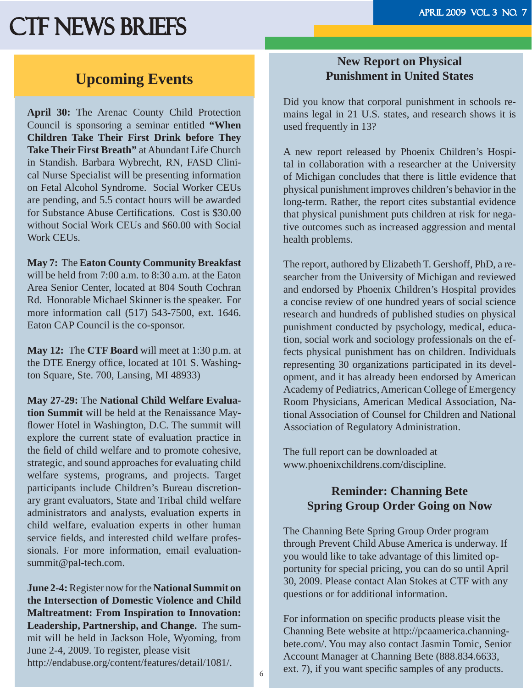### **Upcoming Events**

**April 30:** The Arenac County Child Protection Council is sponsoring a seminar entitled **"When Children Take Their First Drink before They Take Their First Breath"** at Abundant Life Church in Standish. Barbara Wybrecht, RN, FASD Clinical Nurse Specialist will be presenting information on Fetal Alcohol Syndrome. Social Worker CEUs are pending, and 5.5 contact hours will be awarded for Substance Abuse Certifications. Cost is \$30.00 without Social Work CEUs and \$60.00 with Social Work CEUs.

**May 7:** The **Eaton County Community Breakfast**  will be held from 7:00 a.m. to 8:30 a.m. at the Eaton Area Senior Center, located at 804 South Cochran Rd. Honorable Michael Skinner is the speaker. For more information call (517) 543-7500, ext. 1646. Eaton CAP Council is the co-sponsor.

**May 12:** The **CTF Board** will meet at 1:30 p.m. at the DTE Energy office, located at 101 S. Washington Square, Ste. 700, Lansing, MI 48933)

**May 27-29:** The **National Child Welfare Evaluation Summit** will be held at the Renaissance Mayflower Hotel in Washington, D.C. The summit will explore the current state of evaluation practice in the field of child welfare and to promote cohesive, strategic, and sound approaches for evaluating child welfare systems, programs, and projects. Target participants include Children's Bureau discretionary grant evaluators, State and Tribal child welfare administrators and analysts, evaluation experts in child welfare, evaluation experts in other human service fields, and interested child welfare professionals. For more information, email evaluationsummit@pal-tech.com.

**June 2-4:** Register now for the **National Summit on the Intersection of Domestic Violence and Child Maltreatment: From Inspiration to Innovation: Leadership, Partnership, and Change.** The summit will be held in Jackson Hole, Wyoming, from June 2-4, 2009. To register, please visit http://endabuse.org/content/features/detail/1081/.

### **New Report on Physical Punishment in United States**

Did you know that corporal punishment in schools remains legal in 21 U.S. states, and research shows it is used frequently in 13?

A new report released by Phoenix Children's Hospital in collaboration with a researcher at the University of Michigan concludes that there is little evidence that physical punishment improves children's behavior in the long-term. Rather, the report cites substantial evidence that physical punishment puts children at risk for negative outcomes such as increased aggression and mental health problems.

The report, authored by Elizabeth T. Gershoff, PhD, a researcher from the University of Michigan and reviewed and endorsed by Phoenix Children's Hospital provides a concise review of one hundred years of social science research and hundreds of published studies on physical punishment conducted by psychology, medical, education, social work and sociology professionals on the effects physical punishment has on children. Individuals representing 30 organizations participated in its development, and it has already been endorsed by American Academy of Pediatrics, American College of Emergency Room Physicians, American Medical Association, National Association of Counsel for Children and National Association of Regulatory Administration.

The full report can be downloaded at www.phoenixchildrens.com/discipline.

### **Reminder: Channing Bete Spring Group Order Going on Now**

The Channing Bete Spring Group Order program through Prevent Child Abuse America is underway. If you would like to take advantage of this limited opportunity for special pricing, you can do so until April 30, 2009. Please contact Alan Stokes at CTF with any questions or for additional information.

For information on specific products please visit the Channing Bete website at http://pcaamerica.channingbete.com/. You may also contact Jasmin Tomic, Senior Account Manager at Channing Bete (888.834.6633, ext. 7), if you want specific samples of any products.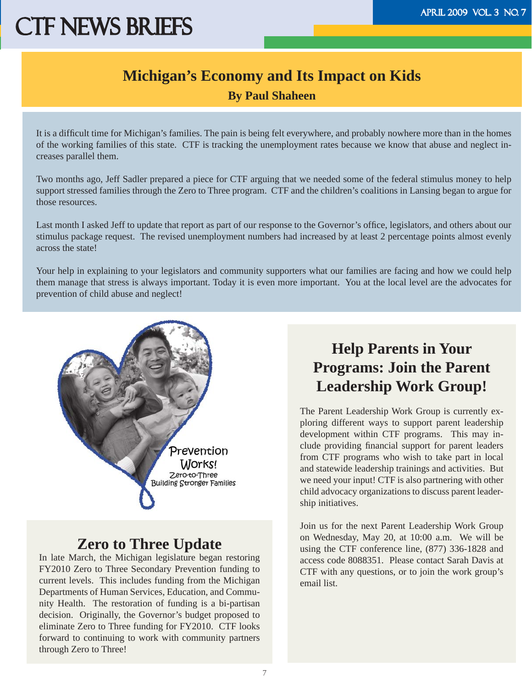### **Michigan's Economy and Its Impact on Kids By Paul Shaheen**

It is a difficult time for Michigan's families. The pain is being felt everywhere, and probably nowhere more than in the homes of the working families of this state. CTF is tracking the unemployment rates because we know that abuse and neglect increases parallel them.

Two months ago, Jeff Sadler prepared a piece for CTF arguing that we needed some of the federal stimulus money to help support stressed families through the Zero to Three program. CTF and the children's coalitions in Lansing began to argue for those resources.

Last month I asked Jeff to update that report as part of our response to the Governor's office, legislators, and others about our stimulus package request. The revised unemployment numbers had increased by at least 2 percentage points almost evenly across the state!

Your help in explaining to your legislators and community supporters what our families are facing and how we could help them manage that stress is always important. Today it is even more important. You at the local level are the advocates for prevention of child abuse and neglect!



### **Zero to Three Update**

In late March, the Michigan legislature began restoring FY2010 Zero to Three Secondary Prevention funding to current levels. This includes funding from the Michigan Departments of Human Services, Education, and Community Health. The restoration of funding is a bi-partisan decision. Originally, the Governor's budget proposed to eliminate Zero to Three funding for FY2010. CTF looks forward to continuing to work with community partners through Zero to Three!

## **Help Parents in Your Programs: Join the Parent Leadership Work Group!**

The Parent Leadership Work Group is currently exploring different ways to support parent leadership development within CTF programs. This may include providing financial support for parent leaders from CTF programs who wish to take part in local and statewide leadership trainings and activities. But we need your input! CTF is also partnering with other child advocacy organizations to discuss parent leadership initiatives.

Join us for the next Parent Leadership Work Group on Wednesday, May 20, at 10:00 a.m. We will be using the CTF conference line, (877) 336-1828 and access code 8088351. Please contact Sarah Davis at CTF with any questions, or to join the work group's email list.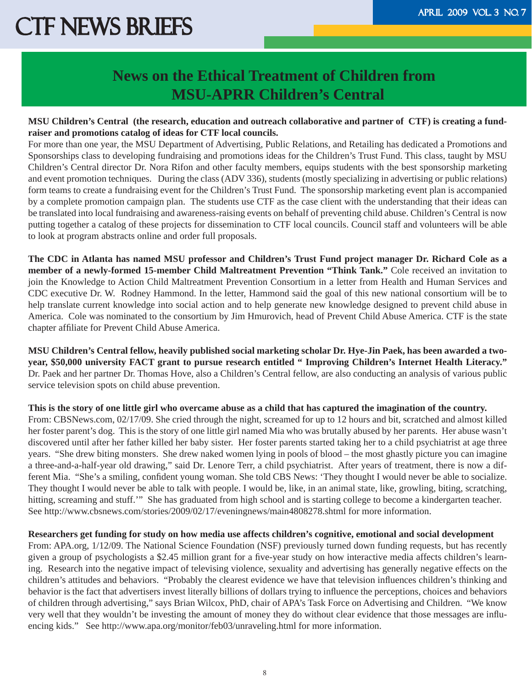### **News on the Ethical Treatment of Children from MSU-APRR Children's Central**

#### **MSU Children's Central (the research, education and outreach collaborative and partner of CTF) is creating a fundraiser and promotions catalog of ideas for CTF local councils.**

For more than one year, the MSU Department of Advertising, Public Relations, and Retailing has dedicated a Promotions and Sponsorships class to developing fundraising and promotions ideas for the Children's Trust Fund. This class, taught by MSU Children's Central director Dr. Nora Rifon and other faculty members, equips students with the best sponsorship marketing and event promotion techniques. During the class (ADV 336), students (mostly specializing in advertising or public relations) form teams to create a fundraising event for the Children's Trust Fund. The sponsorship marketing event plan is accompanied by a complete promotion campaign plan. The students use CTF as the case client with the understanding that their ideas can be translated into local fundraising and awareness-raising events on behalf of preventing child abuse. Children's Central is now putting together a catalog of these projects for dissemination to CTF local councils. Council staff and volunteers will be able to look at program abstracts online and order full proposals.

**The CDC in Atlanta has named MSU professor and Children's Trust Fund project manager Dr. Richard Cole as a member of a newly-formed 15-member Child Maltreatment Prevention "Think Tank."** Cole received an invitation to join the Knowledge to Action Child Maltreatment Prevention Consortium in a letter from Health and Human Services and CDC executive Dr. W. Rodney Hammond. In the letter, Hammond said the goal of this new national consortium will be to help translate current knowledge into social action and to help generate new knowledge designed to prevent child abuse in America. Cole was nominated to the consortium by Jim Hmurovich, head of Prevent Child Abuse America. CTF is the state chapter affiliate for Prevent Child Abuse America.

**MSU Children's Central fellow, heavily published social marketing scholar Dr. Hye-Jin Paek, has been awarded a twoyear, \$50,000 university FACT grant to pursue research entitled " Improving Children's Internet Health Literacy."**  Dr. Paek and her partner Dr. Thomas Hove, also a Children's Central fellow, are also conducting an analysis of various public service television spots on child abuse prevention.

#### **This is the story of one little girl who overcame abuse as a child that has captured the imagination of the country.**

From: CBSNews.com, 02/17/09. She cried through the night, screamed for up to 12 hours and bit, scratched and almost killed her foster parent's dog. This is the story of one little girl named Mia who was brutally abused by her parents. Her abuse wasn't discovered until after her father killed her baby sister. Her foster parents started taking her to a child psychiatrist at age three years. "She drew biting monsters. She drew naked women lying in pools of blood – the most ghastly picture you can imagine a three-and-a-half-year old drawing," said Dr. Lenore Terr, a child psychiatrist. After years of treatment, there is now a different Mia. "She's a smiling, confident young woman. She told CBS News: 'They thought I would never be able to socialize. They thought I would never be able to talk with people. I would be, like, in an animal state, like, growling, biting, scratching, hitting, screaming and stuff." She has graduated from high school and is starting college to become a kindergarten teacher. See http://www.cbsnews.com/stories/2009/02/17/eveningnews/main4808278.shtml for more information.

#### **Researchers get funding for study on how media use affects children's cognitive, emotional and social development**

From: APA.org, 1/12/09. The National Science Foundation (NSF) previously turned down funding requests, but has recently given a group of psychologists a \$2.45 million grant for a five-year study on how interactive media affects children's learning. Research into the negative impact of televising violence, sexuality and advertising has generally negative effects on the children's attitudes and behaviors. "Probably the clearest evidence we have that television influences children's thinking and behavior is the fact that advertisers invest literally billions of dollars trying to influence the perceptions, choices and behaviors of children through advertising," says Brian Wilcox, PhD, chair of APA's Task Force on Advertising and Children. "We know very well that they wouldn't be investing the amount of money they do without clear evidence that those messages are influencing kids." See http://www.apa.org/monitor/feb03/unraveling.html for more information.